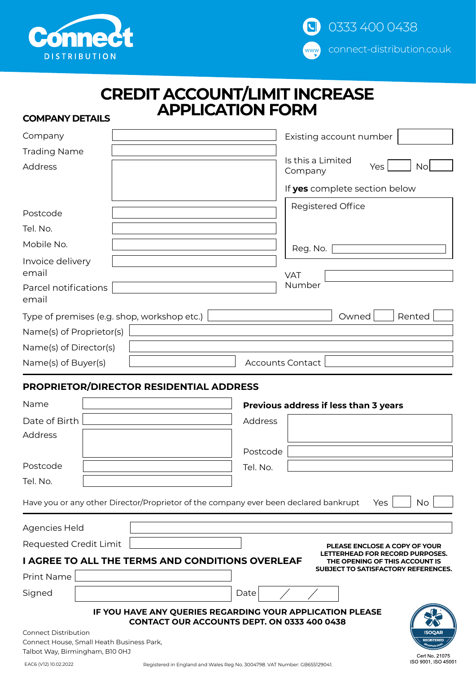



|    |                         | <b>CREDIT ACCOUNT/LIMIT INCREASE</b> |  |
|----|-------------------------|--------------------------------------|--|
| יי | <b>APPLICATION FORM</b> |                                      |  |

# **COMPANY DETAILS**

| Company                                     | Existing account number                   |
|---------------------------------------------|-------------------------------------------|
| <b>Trading Name</b>                         |                                           |
| <b>Address</b>                              | Is this a Limited<br>Yes<br>No<br>Company |
|                                             | If yes complete section below             |
| Postcode                                    | <b>Registered Office</b>                  |
| Tel. No.                                    |                                           |
| Mobile No.                                  | Reg. No.                                  |
| Invoice delivery<br>email                   | <b>VAT</b>                                |
| Parcel notifications<br>email               | Number                                    |
| Type of premises (e.g. shop, workshop etc.) | Owned<br>Rented                           |
| Name(s) of Proprietor(s)                    |                                           |
| Name(s) of Director(s)                      |                                           |
| Name(s) of Buyer(s)                         | <b>Accounts Contact</b>                   |

## **PROPRIETOR/DIRECTOR RESIDENTIAL ADDRESS**

| Name                                                                     | Previous address if less than 3 years                                                                                        |
|--------------------------------------------------------------------------|------------------------------------------------------------------------------------------------------------------------------|
| Date of Birth                                                            | <b>Address</b>                                                                                                               |
| Address                                                                  |                                                                                                                              |
|                                                                          | Postcode                                                                                                                     |
| Postcode                                                                 | Tel. No.                                                                                                                     |
| Tel. No.                                                                 |                                                                                                                              |
|                                                                          | Have you or any other Director/Proprietor of the company ever been declared bankrupt<br><b>Yes</b><br>No.                    |
| Agencies Held                                                            |                                                                                                                              |
| Requested Credit Limit                                                   | PLEASE ENCLOSE A COPY OF YOUR                                                                                                |
|                                                                          | LETTERHEAD FOR RECORD PURPOSES.<br><b>I AGREE TO ALL THE TERMS AND CONDITIONS OVERLEAF</b><br>THE OPENING OF THIS ACCOUNT IS |
| Print Name                                                               | SUBJECT TO SATISFACTORY REFERENCES.                                                                                          |
| Signed                                                                   | Date                                                                                                                         |
|                                                                          | IF YOU HAVE ANY QUERIES REGARDING YOUR APPLICATION PLEASE<br><b>CONTACT OUR ACCOUNTS DEPT. ON 0333 400 0438</b>              |
| <b>Connect Distribution</b><br>Connect House, Small Heath Business Park, | <b>ISOOAR</b><br><b>REGISTERED</b>                                                                                           |
| Talbot Way, Birmingham, B10 0HJ                                          | Cert No. 21075                                                                                                               |
| EACE A (12) 10.02.2022                                                   | ISO 9001, ISO 45001<br>Department of the England and Material Department 700 (E00 MAT Number of ODCEFIOOO G                  |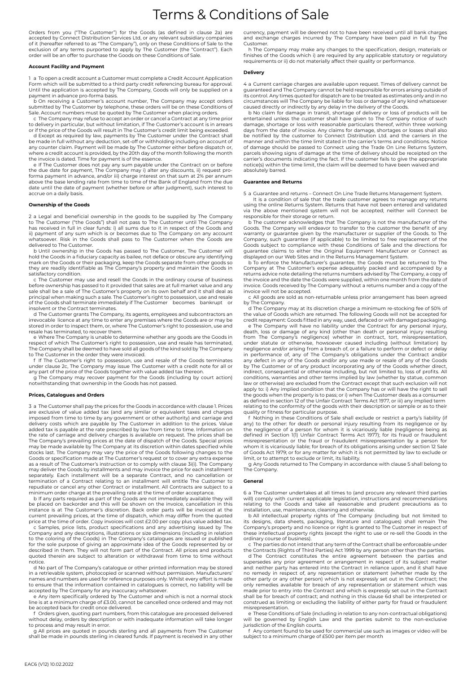# Terms & Conditions of Sale

Orders from you ("The Customer") for the Goods (as defined in clause 2a) are accepted by Connect Distribution Services Ltd, or any relevant subsidiary companies of it (hereafter referred to as "The Company"), only on these Conditions of Sale to the<br>exclusion of any terms purported to apply by The Customer (the "Contract"). Each<br>order will be an offer to purchase the Goods on these

#### **Account Facility and Payment**

a To open a credit account a Customer must complete a Credit Account Application Form which will be submitted to a third party credit referencing bureau for approval. Until the application is accepted by The Company, Goods will only be supplied on a payment in advance pro-forma basis. b On receiving a Customer's account number, The Company may accept orders

submitted by The Customer by telephone, these orders will be on these Conditions of Sale. Account numbers must be quoted by The Customer when placing orders.

c The Company may refuse to accept an order or cancel a Contract at any time prior to delivery in particular, but without limitation, if The Customer's account is in arrears or if the price of the Goods will result in The Customer's credit limit being exceeded.

d Except as required by law, payments by The Customer under the Contract shall be made in full without any deduction, set-off or withholding including on account of any counter claim. Payment will be made by The Customer either before dispatch or, where a credit account is provided, by the 20th day of the month following the month the invoice is dated. Time for payment is of the essence.

e If The Customer does not pay any sum payable under the Contract on or before the due date for payment, The Company may i) alter any discounts, ii) request proforma payment in advance, and/or iii) charge interest on that sum at 2% per annum above the base lending rate from time to time of the Bank of England from the due date until the date of payment (whether before or after judgment), such interest to accrue on a daily basis.

#### **Ownership of the Goods**

2 a Legal and beneficial ownership in the goods to be supplied by The Company to The Customer ("the Goods") shall not pass to The Customer until The Company has received in full in clear funds: i) all sums due to it in respect of the Goods and ii) payment of any sum which is or becomes due to The Company on any account whatsoever. Risk in the Goods shall pass to The Customer when the Goods are delivered to The Customer.

b Until ownership in the Goods has passed to The Customer, The Customer will hold the Goods in a fiduciary capacity as bailee, not deface or obscure any identifying mark on the Goods or their packaging, keep the Goods separate from other goods so they are readily identifiable as The Company's property and maintain the Goods in satisfactory condition.

c The Customer may use and resell the Goods in the ordinary course of business before ownership has passed to it provided that sales are at full market value and any sale shall be a sale of The Customer's property on its own behalf and it shall deal as principal when making such a sale. The Customer's right to possession, use and resale of the Goods shall terminate immediately if The Customer becomes bankrupt or insolvent or the Contract terminates.

d The Customer grants The Company, its agents, employees and subcontractors an irrevocable licence at any time to enter any premises where the Goods are or may be stored in order to inspect them, or, where The Customer's right to possession, use and resale has terminated, to recover them.

e Where The Company is unable to determine whether any goods are the Goods in respect of which The Customer's right to possession, use and resale has terminated, The Company shall be deemed to have sold all goods of the kind sold by The Company to The Customer in the order they were invoiced.

f If The Customer's right to possession, use and resale of the Goods terminates under clause 2c, The Company may issue The Customer with a credit note for all or any part of the price of the Goods together with value added tax thereon.

g The Company may recover payment for the Goods (including by court action) notwithstanding that ownership in the Goods has not passed.

### **Prices, Catalogues and Orders**

3 a The Customer shall pay the prices for the Goods in accordance with clause 1. Prices are exclusive of value added tax (and any similar or equivalent taxes and charges imposed from time to time by any government or other authority) and carriage and delivery costs which are payable by The Customer in addition to the prices. Value added tax is payable at the rate prescribed by law from time to time. Information on the rate of carriage and delivery charges is available on request. The prices shall be The Company's prevailing prices at the date of dispatch of the Goods. Special prices may be made available by The Company at its discretion within dates specified while stocks last. The Company may vary the price of the Goods following changes to the Goods or specification made at The Customer's request or to cover any extra expense as a result of The Customer's instruction or to comply with clause 3i(i). The Company may deliver the Goods by installments and may invoice the price for each installment separately. Each installment will be a separate Contract, and no cancellation or termination of a Contract relating to an installment will entitle The Customer to repudiate or cancel any other Contract or installment. All Contracts are subject to a

minimum order charge at the prevailing rate at the time of order acceptance. b If any parts required as part of the Goods are not immediately available they will be placed on backorder and this will be shown on the invoice, cancellation in this instance is at The Customer's discretion. Back order parts will be invoiced at the current prevailing prices, at the time of dispatch, which may differ from the quoted<br>price at the time of order. Copy invoices will cost £2.00 per copy plus value added tax.<br>c Samples, price lists, product specifications a

Company and any descriptions, illustrations or size dimensions (including in relation to the coloring of the Goods) in The Company's catalogues are issued or published for the sole purpose of giving an approximate idea of the Goods represented by or described in them. They will not form part of the Contract. All prices and products quoted therein are subject to alteration or withdrawal from time to time without notice.

d No part of The Company's catalogue or other printed information may be stored in a retrievable system, photocopied or scanned without permission. Manufacturers' names and numbers are used for reference purposes only. Whilst every effort is made to ensure that the information contained in catalogues is correct, no liability will be accepted by The Company for any inaccuracy whatsoever.

e Any item specifically ordered by The Customer and which is not a normal stock line is at a minimum charge of £3.00, cannot be cancelled once ordered and may not be accepted back for credit once delivered.

f Orders given, quoting part numbers, from this catalogue are processed delivered without delay, orders by description or with inadequate information will take longer to process and may result in error.

g All prices are quoted in pounds sterling and all payments from The Customer shall be made in pounds sterling in cleared funds. If payment is received in any other

currency, payment will be deemed not to have been received until all bank charges and exchange charges incurred by The Company have been paid in full by The Customer.

h The Company may make any changes to the specification, design, materials or finishes of the Goods which i) are required by any applicable statutory or regulatory requirements or ii) do not materially affect their quality or performance.

#### **Delivery**

4 a Current carriage charges are available upon request. Times of delivery cannot be guaranteed and The Company cannot be held responsible for errors arising outside of its control. Any times quoted for dispatch are to be treated as estimates only and in no circumstances will The Company be liable for loss or damage of any kind whatsoever

caused directly or indirectly by any delay in the delivery of the Goods. b No claim for damage in transit, shortage of delivery or loss of products will be entertained unless the customer shall have given to The Company notice of such damage, shortage or loss with reasonable particulars thereof, within three working days from the date of invoice. Any claims for damage, shortages or losses shall also be notified by the customer to Connect Distribution Ltd. and the carriers in the manner and within the time limit stated in the carrier's terms and conditions. Notice of damage should be passed to Connect using the Trade On Line Returns System,<br>parcels showing signs of damage at the time of delivery should be receipted on the<br>carrier's documents indicating the fact. If the customer fail notice(s) within the time limit, the claim will be deemed to have been waived and absolutely barred.

#### **Guarantee and Returns**

5 a Guarantee and returns – Connect On Line Trade Returns Management System.

It is a condition of sale that the trade customer agrees to manage any returns using the online Returns System. Returns that have not been entered and validated via the above mentioned system will not be accepted; neither will Connect be

responsible for their storage or return. b The customer acknowledges that The Company is not the manufacturer of the Goods. The Company will endeavor to transfer to the customer the benefit of any warranty or guarantee given by the manufacturer or supplier of the Goods. to The Company, such guarantee (if applicable) to be limited to free replacement of the Goods subject to compliance with these Conditions of Sale and the directions for guarantee claims to either the Original Equipment Manufacturer or Connect as

displayed on our Web Sites and in the Returns Management System. b To enforce the Manufacturer's guarantee, the Goods must be returned to The Company at The Customer's expense adequately packed and accompanied by a returns advice note detailing the returns numbers advised by The Company, a copy of the invoice and the date the Goods were supplied, within one month from the date of invoice. Goods received by The Company without a returns number and a copy of the invoice will not be accepted.

c All goods are sold as non-returnable unless prior arrangement has been agreed by The Company.

d The Company may at its discretion charge a minimum re-stocking fee of 50% of the value of Goods which are returned. The following Goods will not be accepted for credit repayment: Goods fitted in any way, used, defaced or with damaged packaging. e The Company will have no liability under the Contract for any personal injury,

death, loss or damage of any kind (other than death or personal injury resulting from The Company's negligence) whether in contract, tort, misrepresentation, under statute or otherwise, howsoever caused including (without limitation) by negligence and/or arising from a breach of a failure to general in any defect in any of the Goods and/or any use made or resale of any of the Goods<br>by The Customer or of any product incorporating any of the Goods whether direct,<br>indirect, consequential or otherwise including, but not limi apply to: i) Any implied condition that the Company has or will have the right to sell the goods when the property is to pass; or i) when The Customer deals as a consumer as defined in section 12 of the Unfair Contract Terms Act 1977, or iii) any implied term relating to the conformity of the goods with their description or sample or as to their

quality or fitness for particular purpose. f Nothing in these Conditions of Sale shall exclude or restrict a party's liability (if any) to the other: for death or personal injury resulting from its negligence or by the negligence of a person for whom it is vicariously liable (negligence being as defined in Section 1(1) Unfair Contract Terms Act 1977); for its fraud or fraudulent misrepresentation or the fraud or fraudulent misrepresentation by a person for whom it is vicariously liable; for breach of its obligations arising under section 12 Sale of Goods Act 1979; or for any matter for which it is not permitted by law to exclude or

limit, or to attempt to exclude or limit, its liability. g Any Goods returned to The Company in accordance with clause 5 shall belong to The Company.

#### **General**

6 a The Customer undertakes at all times to (and procure any relevant third parties<br>will) comply with current applicable legislation, instructions and recommendations<br>relating to the Goods and take all reasonable and prude

installation, use, maintenance, cleaning and otherwise.<br>b All intellectual property rights of The Company (including but not limited to<br>its designs, data sheets, packaging, literature and catalogues) shall remain The<br>Compa these intellectual property rights (except the right to use or re-sell the Goods in the ordinary course of business).

c The parties do not intend that any term of the Contract shall be enforceable under<br>the Contracts (Rights of Third Parties) Act 1999 by any person other than the parties.<br>d The Contract constitutes the entire agreement be no remedy in respect of, any representation or statement (whether made by the other party or any other person) which is not expressly set out in the Contract; the only remedies available for breach of any representation or statement which was made prior to entry into the Contract and which is expressly set out in the Contract shall be for breach of contract; and nothing in this clause 6d shall be interpreted or construed as limiting or excluding the liability of either party for fraud or fraudulent conou as as minutes

e These Conditions of Sale (including in relation to any non-contractual obligations) will be governed by English Law and the parties submit to the non-exclusive jurisdiction of the English courts.

f Any content found to be used for commercial use such as images or video will be subject to a minimum charge of £500 per item per month